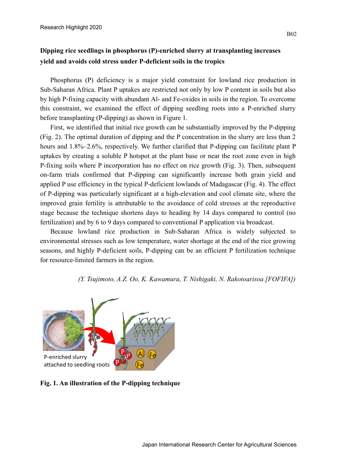## **Dipping rice seedlings in phosphorus (P)-enriched slurry at transplanting increases yield and avoids cold stress under P-deficient soils in the tropics**

Phosphorus (P) deficiency is a major yield constraint for lowland rice production in Sub-Saharan Africa. Plant P uptakes are restricted not only by low P content in soils but also by high P-fixing capacity with abundant Al- and Fe-oxides in soils in the region. To overcome this constraint, we examined the effect of dipping seedling roots into a P-enriched slurry before transplanting (P-dipping) as shown in Figure 1.

First, we identified that initial rice growth can be substantially improved by the P-dipping (Fig. 2). The optimal duration of dipping and the P concentration in the slurry are less than 2 hours and 1.8%–2.6%, respectively. We further clarified that P-dipping can facilitate plant P uptakes by creating a soluble P hotspot at the plant base or near the root zone even in high P-fixing soils where P incorporation has no effect on rice growth (Fig. 3). Then, subsequent on-farm trials confirmed that P-dipping can significantly increase both grain yield and applied P use efficiency in the typical P-deficient lowlands of Madagascar (Fig. 4). The effect of P-dipping was particularly significant at a high-elevation and cool climate site, where the improved grain fertility is attributable to the avoidance of cold stresses at the reproductive stage because the technique shortens days to heading by 14 days compared to control (no fertilization) and by 6 to 9 days compared to conventional P application via broadcast.

Because lowland rice production in Sub-Saharan Africa is widely subjected to environmental stresses such as low temperature, water shortage at the end of the rice growing seasons, and highly P-deficient soils, P-dipping can be an efficient P fertilization technique for resource-limited farmers in the region.

*(Y. Tsujimoto, A.Z. Oo, K. Kawamura, T. Nishigaki, N. Rakotoarisoa [FOFIFA])* 



**Fig. 1. An illustration of the P-dipping technique**